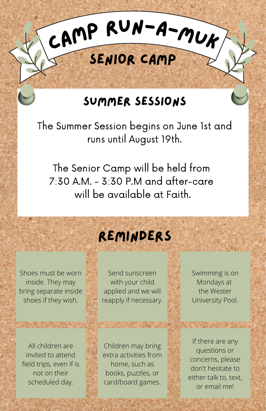## Summer Sessions

<sup>C</sup>am<sup>p</sup> <sup>R</sup>un-a-Mu<sup>k</sup>

Senior Camp

The Summer Session begins on June 1st and runs until August 19th.

The Senior Camp will be held from 7:30 A.M. - 3:30 P.M and after-care will be available at Faith.

## Reminders

Shoes must be worn inside. They may bring separate inside shoes if they wish.

**PART AREA** 

All children are invited to attend field trips, even if is not on their scheduled day.

Send sunscreen with your child applied and we will reapply if necessary.

Children may bring extra activities from home, such as books, puzzles, or card/board games.

**SAME OF BUILDING** 

Swimming is on Mondays at the Wester University Pool.

**ASSAULTS** 

If there are any questions or concerns, please don't hesitate to either talk to, text, or email me!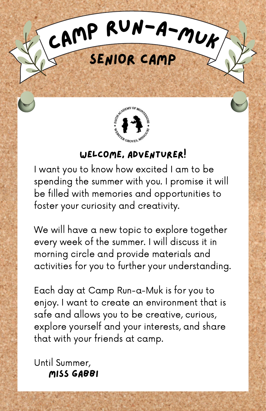



## Welcome, Adventurer!

I want you to know how excited I am to be spending the summer with you. I promise it will be filled with memories and opportunities to foster your curiosity and creativity.

We will have a new topic to explore together every week of the summer. I will discuss it in morning circle and provide materials and activities for you to further your understanding.

Each day at Camp Run-a-Muk is for you to enjoy. I want to create an environment that is safe and allows you to be creative, curious, explore yourself and your interests, and share that with your friends at camp.

Until Summer, Miss Gabbi